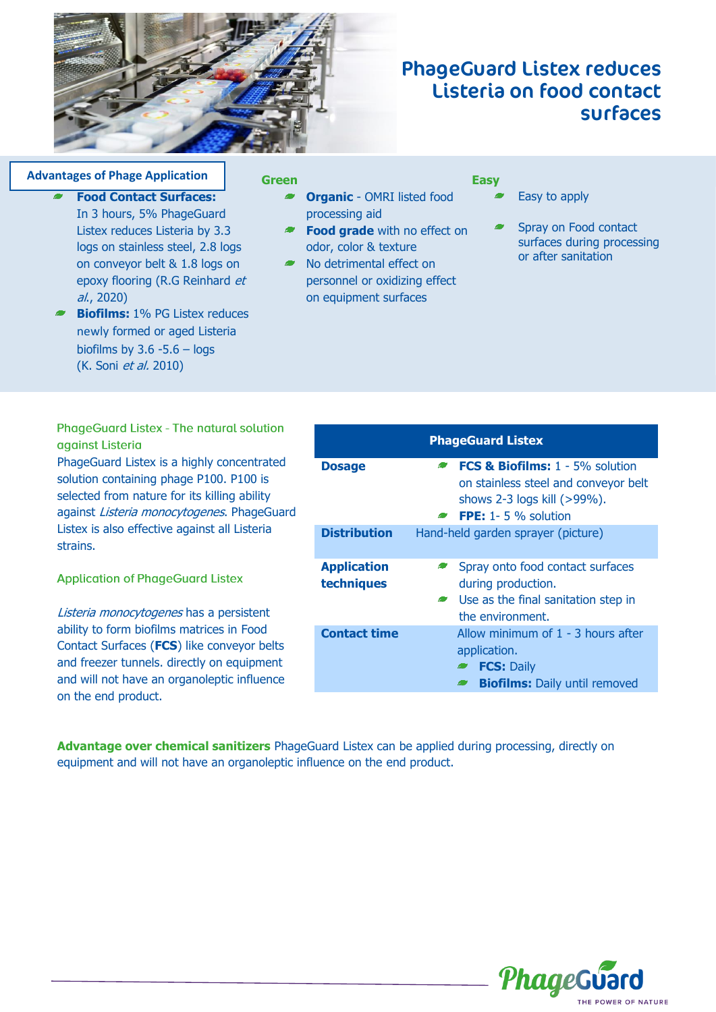

# PhageGuard Listex reduces Listeria on food contact surfaces

#### **Smart Advantages of Phage Application**

al., 2020)

**Food Contact Surfaces:** In 3 hours, 5% PhageGuard Listex reduces Listeria by 3.3 logs on stainless steel, 2.8 logs on conveyor belt & 1.8 logs on epoxy flooring (R.G Reinhard et

#### **Green**

- **Organic**  OMRI listed food processing aid
- **Food grade** with no effect on odor, color & texture
- No detrimental effect on personnel or oxidizing effect on equipment surfaces

#### **Easy**

- Easy to apply
- Spray on Food contact surfaces during processing or after sanitation

**PhageGuard Listex - The natural solution** against Listeria

**Biofilms:** 1% PG Listex reduces newly formed or aged Listeria biofilms by  $3.6 - 5.6 - \log$ (K. Soni et al. 2010)

PhageGuard Listex is a highly concentrated solution containing phage P100. P100 is selected from nature for its killing ability against Listeria monocytogenes. PhageGuard Listex is also effective against all Listeria strains.

#### **Application of PhageGuard Listex**

Listeria monocytogenes has a persistent ability to form biofilms matrices in Food Contact Surfaces (**FCS**) like conveyor belts and freezer tunnels. directly on equipment and will not have an organoleptic influence on the end product.

| <b>PhageGuard Listex</b>         |                                                                                                                                                              |
|----------------------------------|--------------------------------------------------------------------------------------------------------------------------------------------------------------|
| <b>Dosage</b>                    | <b>FCS &amp; Biofilms:</b> 1 - 5% solution<br>$\sim$<br>on stainless steel and conveyor belt<br>shows 2-3 logs kill (>99%).<br>$\bullet$ FPE: 1-5 % solution |
| <b>Distribution</b>              | Hand-held garden sprayer (picture)                                                                                                                           |
| <b>Application</b><br>techniques | Spray onto food contact surfaces<br>$\bullet$<br>during production.<br>Use as the final sanitation step in<br>$\sim$<br>the environment.                     |
| <b>Contact time</b>              | Allow minimum of $1 - 3$ hours after<br>application.<br><b>FCS: Daily</b><br><b>Biofilms:</b> Daily until removed                                            |

**Advantage over chemical sanitizers** PhageGuard Listex can be applied during processing, directly on equipment and will not have an organoleptic influence on the end product.

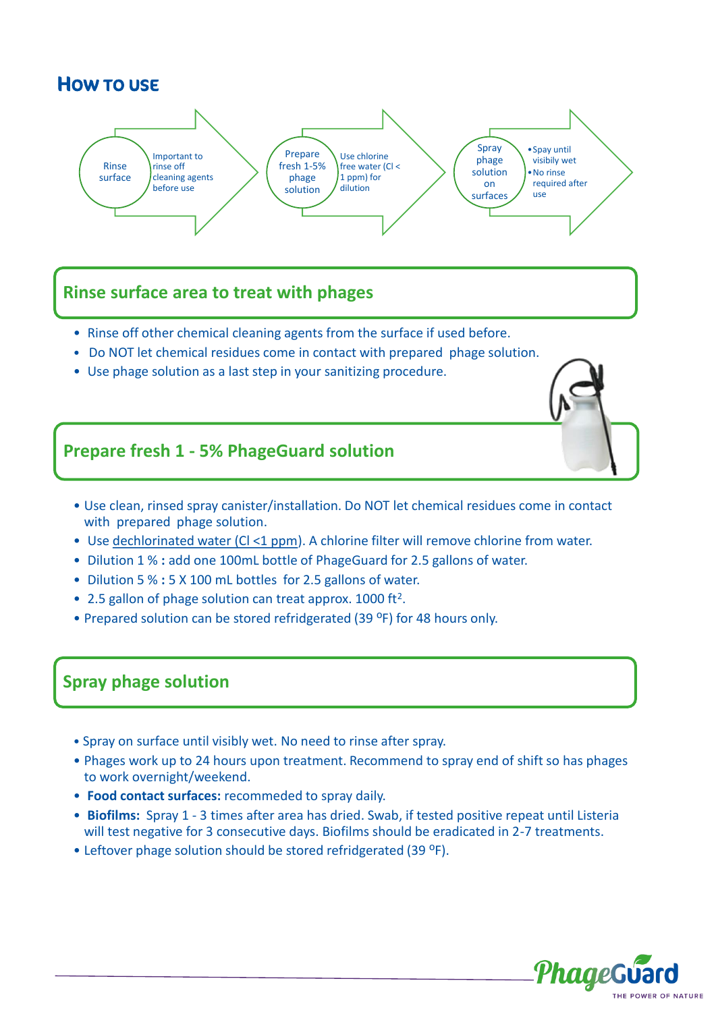# HOW TO USE



# **Rinse surface area to treat with phages**

- Rinse off other chemical cleaning agents from the surface if used before.
- Do NOT let chemical residues come in contact with prepared phage solution.
- Use phage solution as a last step in your sanitizing procedure.

# **Prepare fresh 1 - 5% PhageGuard solution**

- Use clean, rinsed spray canister/installation. Do NOT let chemical residues come in contact with prepared phage solution.
- Use dechlorinated water (Cl <1 ppm). A chlorine filter will remove chlorine from water.
- Dilution 1 % **:** add one 100mL bottle of PhageGuard for 2.5 gallons of water.
- Dilution 5 % **:** 5 X 100 mL bottles for 2.5 gallons of water.
- 2.5 gallon of phage solution can treat approx. 1000 ft<sup>2</sup>.
- Prepared solution can be stored refridgerated (39 °F) for 48 hours only.

### **Spray phage solution**

- Spray on surface until visibly wet. No need to rinse after spray.
- Phages work up to 24 hours upon treatment. Recommend to spray end of shift so has phages to work overnight/weekend.
- **Food contact surfaces:** recommeded to spray daily.
- **Biofilms:** Spray 1 3 times after area has dried. Swab, if tested positive repeat until Listeria will test negative for 3 consecutive days. Biofilms should be eradicated in 2-7 treatments.
- Leftover phage solution should be stored refridgerated (39 °F).